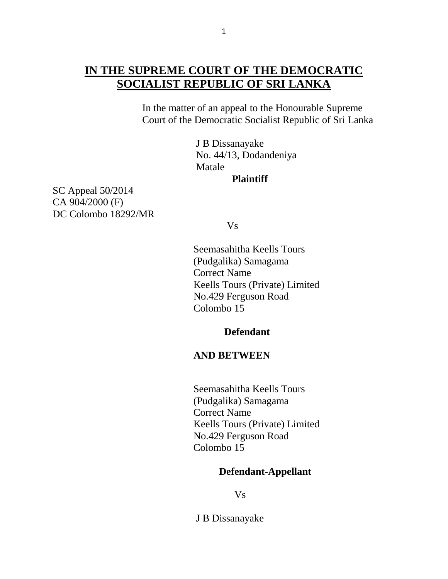In the matter of an appeal to the Honourable Supreme Court of the Democratic Socialist Republic of Sri Lanka

> J B Dissanayake No. 44/13, Dodandeniya Matale

**Plaintiff**

SC Appeal 50/2014 CA 904/2000 (F) DC Colombo 18292/MR

Vs

Seemasahitha Keells Tours (Pudgalika) Samagama Correct Name Keells Tours (Private) Limited No.429 Ferguson Road Colombo 15

#### **Defendant**

# **AND BETWEEN**

 Seemasahitha Keells Tours (Pudgalika) Samagama Correct Name Keells Tours (Private) Limited No.429 Ferguson Road Colombo 15

# **Defendant-Appellant**

Vs

J B Dissanayake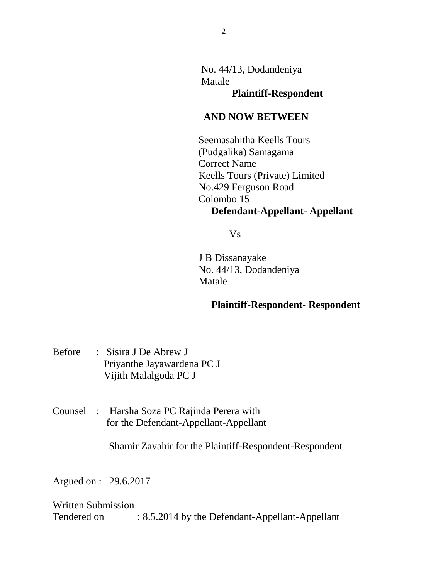No. 44/13, Dodandeniya Matale

**Plaintiff-Respondent**

# **AND NOW BETWEEN**

Seemasahitha Keells Tours (Pudgalika) Samagama Correct Name Keells Tours (Private) Limited No.429 Ferguson Road Colombo 15  **Defendant-Appellant- Appellant**

Vs

 J B Dissanayake No. 44/13, Dodandeniya Matale

# **Plaintiff-Respondent- Respondent**

- Before : Sisira J De Abrew J Priyanthe Jayawardena PC J Vijith Malalgoda PC J
- Counsel : Harsha Soza PC Rajinda Perera with for the Defendant-Appellant-Appellant

Shamir Zavahir for the Plaintiff-Respondent-Respondent

Argued on : 29.6.2017

Written Submission

Tendered on : 8.5.2014 by the Defendant-Appellant-Appellant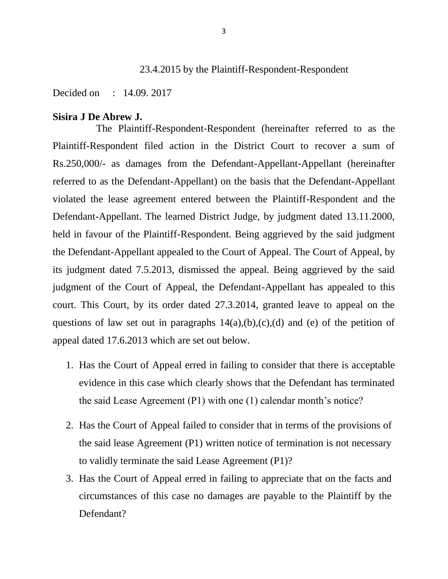# 23.4.2015 by the Plaintiff-Respondent-Respondent

Decided on : 14.09. 2017

#### **Sisira J De Abrew J.**

The Plaintiff-Respondent-Respondent (hereinafter referred to as the Plaintiff-Respondent filed action in the District Court to recover a sum of Rs.250,000/- as damages from the Defendant-Appellant-Appellant (hereinafter referred to as the Defendant-Appellant) on the basis that the Defendant-Appellant violated the lease agreement entered between the Plaintiff-Respondent and the Defendant-Appellant. The learned District Judge, by judgment dated 13.11.2000, held in favour of the Plaintiff-Respondent. Being aggrieved by the said judgment the Defendant-Appellant appealed to the Court of Appeal. The Court of Appeal, by its judgment dated 7.5.2013, dismissed the appeal. Being aggrieved by the said judgment of the Court of Appeal, the Defendant-Appellant has appealed to this court. This Court, by its order dated 27.3.2014, granted leave to appeal on the questions of law set out in paragraphs  $14(a), (b), (c), (d)$  and (e) of the petition of appeal dated 17.6.2013 which are set out below.

- 1. Has the Court of Appeal erred in failing to consider that there is acceptable evidence in this case which clearly shows that the Defendant has terminated the said Lease Agreement (P1) with one (1) calendar month's notice?
- 2. Has the Court of Appeal failed to consider that in terms of the provisions of the said lease Agreement (P1) written notice of termination is not necessary to validly terminate the said Lease Agreement (P1)?
- 3. Has the Court of Appeal erred in failing to appreciate that on the facts and circumstances of this case no damages are payable to the Plaintiff by the Defendant?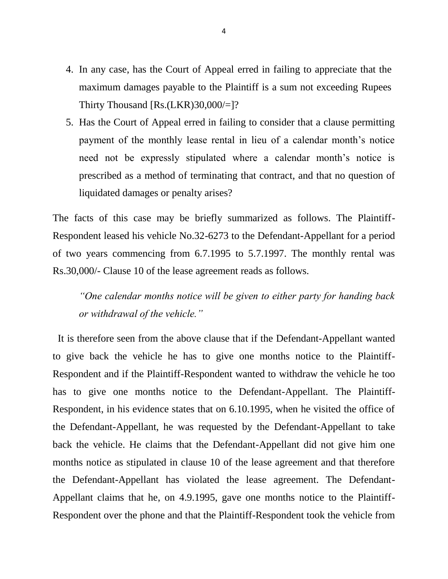- 4. In any case, has the Court of Appeal erred in failing to appreciate that the maximum damages payable to the Plaintiff is a sum not exceeding Rupees Thirty Thousand [Rs.(LKR)30,000/=]?
- 5. Has the Court of Appeal erred in failing to consider that a clause permitting payment of the monthly lease rental in lieu of a calendar month's notice need not be expressly stipulated where a calendar month's notice is prescribed as a method of terminating that contract, and that no question of liquidated damages or penalty arises?

The facts of this case may be briefly summarized as follows. The Plaintiff-Respondent leased his vehicle No.32-6273 to the Defendant-Appellant for a period of two years commencing from 6.7.1995 to 5.7.1997. The monthly rental was Rs.30,000/- Clause 10 of the lease agreement reads as follows.

*"One calendar months notice will be given to either party for handing back or withdrawal of the vehicle."*

It is therefore seen from the above clause that if the Defendant-Appellant wanted to give back the vehicle he has to give one months notice to the Plaintiff-Respondent and if the Plaintiff-Respondent wanted to withdraw the vehicle he too has to give one months notice to the Defendant-Appellant. The Plaintiff-Respondent, in his evidence states that on 6.10.1995, when he visited the office of the Defendant-Appellant, he was requested by the Defendant-Appellant to take back the vehicle. He claims that the Defendant-Appellant did not give him one months notice as stipulated in clause 10 of the lease agreement and that therefore the Defendant-Appellant has violated the lease agreement. The Defendant-Appellant claims that he, on 4.9.1995, gave one months notice to the Plaintiff-Respondent over the phone and that the Plaintiff-Respondent took the vehicle from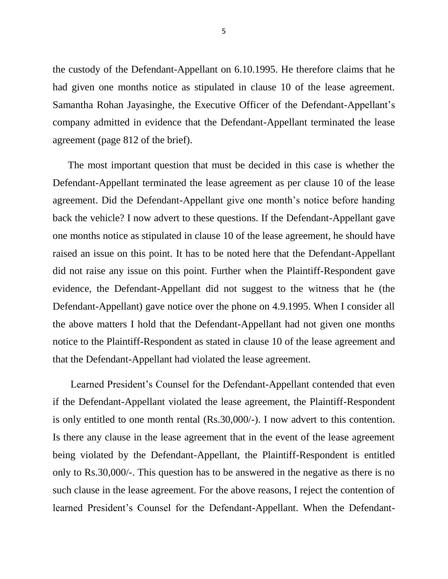the custody of the Defendant-Appellant on 6.10.1995. He therefore claims that he had given one months notice as stipulated in clause 10 of the lease agreement. Samantha Rohan Jayasinghe, the Executive Officer of the Defendant-Appellant's company admitted in evidence that the Defendant-Appellant terminated the lease agreement (page 812 of the brief).

 The most important question that must be decided in this case is whether the Defendant-Appellant terminated the lease agreement as per clause 10 of the lease agreement. Did the Defendant-Appellant give one month's notice before handing back the vehicle? I now advert to these questions. If the Defendant-Appellant gave one months notice as stipulated in clause 10 of the lease agreement, he should have raised an issue on this point. It has to be noted here that the Defendant-Appellant did not raise any issue on this point. Further when the Plaintiff-Respondent gave evidence, the Defendant-Appellant did not suggest to the witness that he (the Defendant-Appellant) gave notice over the phone on 4.9.1995. When I consider all the above matters I hold that the Defendant-Appellant had not given one months notice to the Plaintiff-Respondent as stated in clause 10 of the lease agreement and that the Defendant-Appellant had violated the lease agreement.

 Learned President's Counsel for the Defendant-Appellant contended that even if the Defendant-Appellant violated the lease agreement, the Plaintiff-Respondent is only entitled to one month rental (Rs.30,000/-). I now advert to this contention. Is there any clause in the lease agreement that in the event of the lease agreement being violated by the Defendant-Appellant, the Plaintiff-Respondent is entitled only to Rs.30,000/-. This question has to be answered in the negative as there is no such clause in the lease agreement. For the above reasons, I reject the contention of learned President's Counsel for the Defendant-Appellant. When the Defendant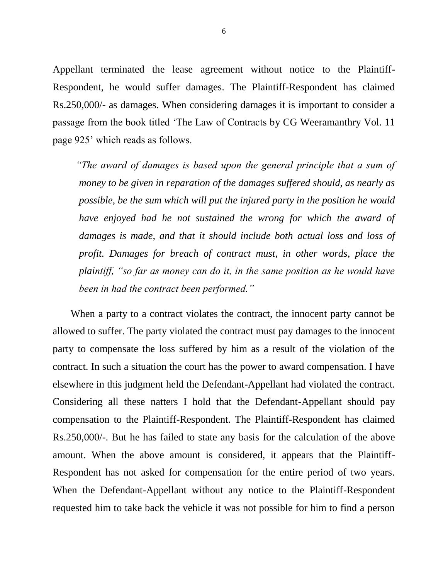Appellant terminated the lease agreement without notice to the Plaintiff-Respondent, he would suffer damages. The Plaintiff-Respondent has claimed Rs.250,000/- as damages. When considering damages it is important to consider a passage from the book titled 'The Law of Contracts by CG Weeramanthry Vol. 11 page 925' which reads as follows.

 *"The award of damages is based upon the general principle that a sum of money to be given in reparation of the damages suffered should, as nearly as possible, be the sum which will put the injured party in the position he would have enjoyed had he not sustained the wrong for which the award of damages is made, and that it should include both actual loss and loss of profit. Damages for breach of contract must, in other words, place the plaintiff, "so far as money can do it, in the same position as he would have been in had the contract been performed."* 

 When a party to a contract violates the contract, the innocent party cannot be allowed to suffer. The party violated the contract must pay damages to the innocent party to compensate the loss suffered by him as a result of the violation of the contract. In such a situation the court has the power to award compensation. I have elsewhere in this judgment held the Defendant-Appellant had violated the contract. Considering all these natters I hold that the Defendant-Appellant should pay compensation to the Plaintiff-Respondent. The Plaintiff-Respondent has claimed Rs.250,000/-. But he has failed to state any basis for the calculation of the above amount. When the above amount is considered, it appears that the Plaintiff-Respondent has not asked for compensation for the entire period of two years. When the Defendant-Appellant without any notice to the Plaintiff-Respondent requested him to take back the vehicle it was not possible for him to find a person